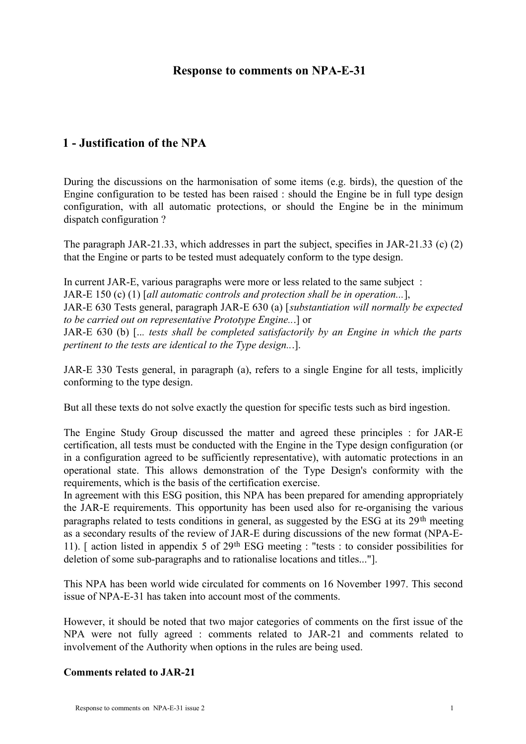## **Response to comments on NPA-E-31**

# **1 - Justification of the NPA**

During the discussions on the harmonisation of some items (e.g. birds), the question of the Engine configuration to be tested has been raised : should the Engine be in full type design configuration, with all automatic protections, or should the Engine be in the minimum dispatch configuration ?

The paragraph JAR-21.33, which addresses in part the subject, specifies in JAR-21.33 (c) (2) that the Engine or parts to be tested must adequately conform to the type design.

In current JAR-E, various paragraphs were more or less related to the same subject :

JAR-E 150 (c) (1) [*all automatic controls and protection shall be in operation...*],

JAR-E 630 Tests general, paragraph JAR-E 630 (a) [*substantiation will normally be expected to be carried out on representative Prototype Engine..*.] or

JAR-E 630 (b) [..*. tests shall be completed satisfactorily by an Engine in which the parts pertinent to the tests are identical to the Type design..*.].

JAR-E 330 Tests general, in paragraph (a), refers to a single Engine for all tests, implicitly conforming to the type design.

But all these texts do not solve exactly the question for specific tests such as bird ingestion.

The Engine Study Group discussed the matter and agreed these principles : for JAR-E certification, all tests must be conducted with the Engine in the Type design configuration (or in a configuration agreed to be sufficiently representative), with automatic protections in an operational state. This allows demonstration of the Type Design's conformity with the requirements, which is the basis of the certification exercise.

In agreement with this ESG position, this NPA has been prepared for amending appropriately the JAR-E requirements. This opportunity has been used also for re-organising the various paragraphs related to tests conditions in general, as suggested by the ESG at its 29th meeting as a secondary results of the review of JAR-E during discussions of the new format (NPA-E-11). [ action listed in appendix 5 of 29th ESG meeting : "tests : to consider possibilities for deletion of some sub-paragraphs and to rationalise locations and titles..."].

This NPA has been world wide circulated for comments on 16 November 1997. This second issue of NPA-E-31 has taken into account most of the comments.

However, it should be noted that two major categories of comments on the first issue of the NPA were not fully agreed : comments related to JAR-21 and comments related to involvement of the Authority when options in the rules are being used.

#### **Comments related to JAR-21**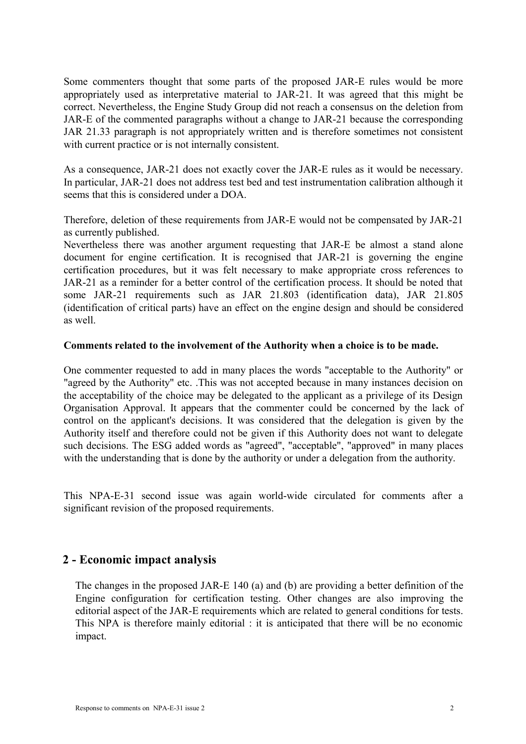Some commenters thought that some parts of the proposed JAR-E rules would be more appropriately used as interpretative material to JAR-21. It was agreed that this might be correct. Nevertheless, the Engine Study Group did not reach a consensus on the deletion from JAR-E of the commented paragraphs without a change to JAR-21 because the corresponding JAR 21.33 paragraph is not appropriately written and is therefore sometimes not consistent with current practice or is not internally consistent.

As a consequence, JAR-21 does not exactly cover the JAR-E rules as it would be necessary. In particular, JAR-21 does not address test bed and test instrumentation calibration although it seems that this is considered under a DOA.

Therefore, deletion of these requirements from JAR-E would not be compensated by JAR-21 as currently published.

Nevertheless there was another argument requesting that JAR-E be almost a stand alone document for engine certification. It is recognised that JAR-21 is governing the engine certification procedures, but it was felt necessary to make appropriate cross references to JAR-21 as a reminder for a better control of the certification process. It should be noted that some JAR-21 requirements such as JAR 21.803 (identification data), JAR 21.805 (identification of critical parts) have an effect on the engine design and should be considered as well.

#### **Comments related to the involvement of the Authority when a choice is to be made.**

One commenter requested to add in many places the words "acceptable to the Authority" or "agreed by the Authority" etc. .This was not accepted because in many instances decision on the acceptability of the choice may be delegated to the applicant as a privilege of its Design Organisation Approval. It appears that the commenter could be concerned by the lack of control on the applicant's decisions. It was considered that the delegation is given by the Authority itself and therefore could not be given if this Authority does not want to delegate such decisions. The ESG added words as "agreed", "acceptable", "approved" in many places with the understanding that is done by the authority or under a delegation from the authority.

This NPA-E-31 second issue was again world-wide circulated for comments after a significant revision of the proposed requirements.

## **2 - Economic impact analysis**

The changes in the proposed JAR-E 140 (a) and (b) are providing a better definition of the Engine configuration for certification testing. Other changes are also improving the editorial aspect of the JAR-E requirements which are related to general conditions for tests. This NPA is therefore mainly editorial : it is anticipated that there will be no economic impact.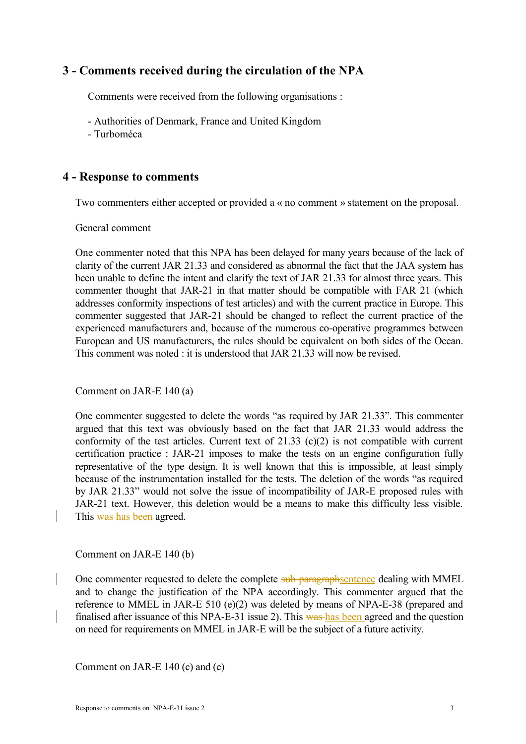# **3 - Comments received during the circulation of the NPA**

Comments were received from the following organisations :

- Authorities of Denmark, France and United Kingdom
- Turboméca

### **4 - Response to comments**

Two commenters either accepted or provided a « no comment » statement on the proposal.

#### General comment

One commenter noted that this NPA has been delayed for many years because of the lack of clarity of the current JAR 21.33 and considered as abnormal the fact that the JAA system has been unable to define the intent and clarify the text of JAR 21.33 for almost three years. This commenter thought that JAR-21 in that matter should be compatible with FAR 21 (which addresses conformity inspections of test articles) and with the current practice in Europe. This commenter suggested that JAR-21 should be changed to reflect the current practice of the experienced manufacturers and, because of the numerous co-operative programmes between European and US manufacturers, the rules should be equivalent on both sides of the Ocean. This comment was noted : it is understood that JAR 21.33 will now be revised.

### Comment on JAR-E 140 (a)

One commenter suggested to delete the words "as required by JAR 21.33". This commenter argued that this text was obviously based on the fact that JAR 21.33 would address the conformity of the test articles. Current text of 21.33 (c)(2) is not compatible with current certification practice : JAR-21 imposes to make the tests on an engine configuration fully representative of the type design. It is well known that this is impossible, at least simply because of the instrumentation installed for the tests. The deletion of the words "as required by JAR 21.33" would not solve the issue of incompatibility of JAR-E proposed rules with JAR-21 text. However, this deletion would be a means to make this difficulty less visible. This was has been agreed.

Comment on JAR-E 140 (b)

One commenter requested to delete the complete sub-paragraphsentence dealing with MMEL and to change the justification of the NPA accordingly. This commenter argued that the reference to MMEL in JAR-E 510 (e)(2) was deleted by means of NPA-E-38 (prepared and finalised after issuance of this NPA-E-31 issue 2). This was has been agreed and the question on need for requirements on MMEL in JAR-E will be the subject of a future activity.

Comment on JAR-E 140 (c) and (e)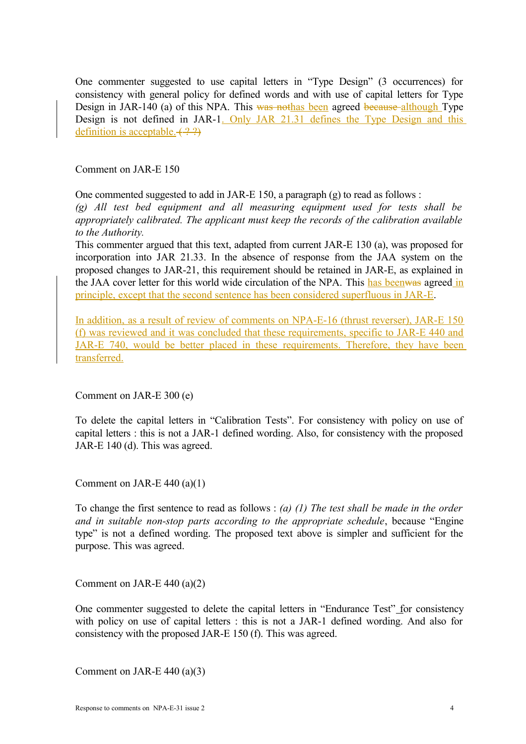One commenter suggested to use capital letters in "Type Design" (3 occurrences) for consistency with general policy for defined words and with use of capital letters for Type Design in JAR-140 (a) of this NPA. This was nothas been agreed because although Type Design is not defined in JAR-1. Only JAR 21.31 defines the Type Design and this definition is acceptable.  $( ? ?)$ 

Comment on JAR-E 150

One commented suggested to add in JAR-E 150, a paragraph (g) to read as follows :

*(g) All test bed equipment and all measuring equipment used for tests shall be appropriately calibrated. The applicant must keep the records of the calibration available to the Authority.*

This commenter argued that this text, adapted from current JAR-E 130 (a), was proposed for incorporation into JAR 21.33. In the absence of response from the JAA system on the proposed changes to JAR-21, this requirement should be retained in JAR-E, as explained in the JAA cover letter for this world wide circulation of the NPA. This has beenwas agreed in principle, except that the second sentence has been considered superfluous in JAR-E.

In addition, as a result of review of comments on NPA-E-16 (thrust reverser), JAR-E 150 (f) was reviewed and it was concluded that these requirements, specific to JAR-E 440 and JAR-E 740, would be better placed in these requirements. Therefore, they have been transferred.

Comment on JAR-E 300 (e)

To delete the capital letters in "Calibration Tests". For consistency with policy on use of capital letters : this is not a JAR-1 defined wording. Also, for consistency with the proposed JAR-E 140 (d). This was agreed.

Comment on JAR-E 440 (a)(1)

To change the first sentence to read as follows : *(a) (1) The test shall be made in the order and in suitable non-stop parts according to the appropriate schedule*, because "Engine type" is not a defined wording. The proposed text above is simpler and sufficient for the purpose. This was agreed.

Comment on JAR-E 440 (a) $(2)$ 

One commenter suggested to delete the capital letters in "Endurance Test" for consistency with policy on use of capital letters : this is not a JAR-1 defined wording. And also for consistency with the proposed JAR-E 150 (f). This was agreed.

Comment on JAR-E  $440$  (a)(3)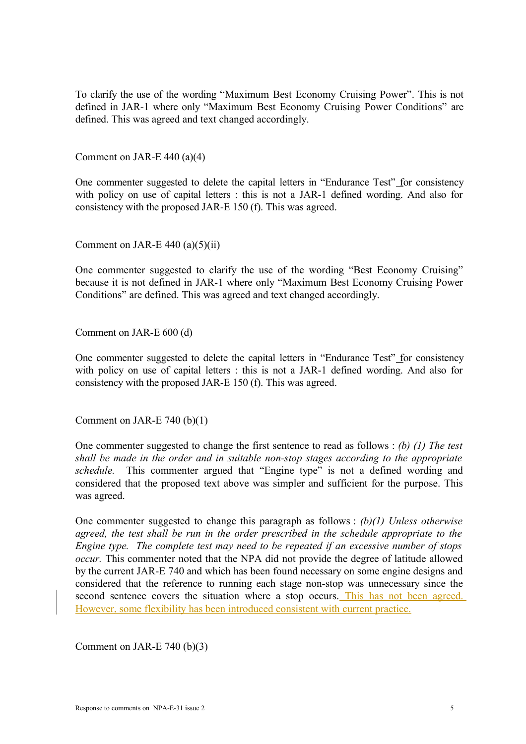To clarify the use of the wording "Maximum Best Economy Cruising Power". This is not defined in JAR-1 where only "Maximum Best Economy Cruising Power Conditions" are defined. This was agreed and text changed accordingly.

Comment on JAR-E  $440$  (a)(4)

One commenter suggested to delete the capital letters in "Endurance Test" for consistency with policy on use of capital letters : this is not a JAR-1 defined wording. And also for consistency with the proposed JAR-E 150 (f). This was agreed.

Comment on JAR-E 440 (a) $(5)(ii)$ 

One commenter suggested to clarify the use of the wording "Best Economy Cruising" because it is not defined in JAR-1 where only "Maximum Best Economy Cruising Power Conditions" are defined. This was agreed and text changed accordingly.

Comment on JAR-E 600 (d)

One commenter suggested to delete the capital letters in "Endurance Test" for consistency with policy on use of capital letters : this is not a JAR-1 defined wording. And also for consistency with the proposed JAR-E 150 (f). This was agreed.

Comment on JAR-E 740 (b)(1)

One commenter suggested to change the first sentence to read as follows : *(b) (1) The test shall be made in the order and in suitable non-stop stages according to the appropriate schedule.* This commenter argued that "Engine type" is not a defined wording and considered that the proposed text above was simpler and sufficient for the purpose. This was agreed.

One commenter suggested to change this paragraph as follows : *(b)(1) Unless otherwise agreed, the test shall be run in the order prescribed in the schedule appropriate to the Engine type. The complete test may need to be repeated if an excessive number of stops occur.* This commenter noted that the NPA did not provide the degree of latitude allowed by the current JAR-E 740 and which has been found necessary on some engine designs and considered that the reference to running each stage non-stop was unnecessary since the second sentence covers the situation where a stop occurs. This has not been agreed. However, some flexibility has been introduced consistent with current practice.

Comment on JAR-E  $740(b)(3)$